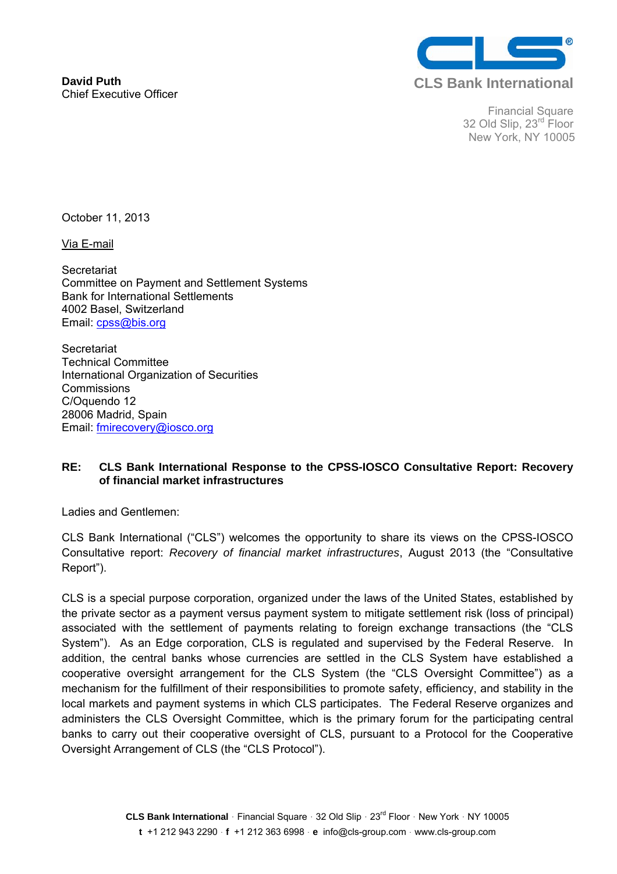

Financial Square 32 Old Slip, 23<sup>rd</sup> Floor New York, NY 10005

October 11, 2013

Via E-mail

**Secretariat** Committee on Payment and Settlement Systems Bank for International Settlements 4002 Basel, Switzerland Email: cpss@bis.org

**Secretariat** Technical Committee International Organization of Securities **Commissions** C/Oquendo 12 28006 Madrid, Spain Email: fmirecovery@iosco.org

## **RE: CLS Bank International Response to the CPSS-IOSCO Consultative Report: Recovery of financial market infrastructures**

Ladies and Gentlemen:

CLS Bank International ("CLS") welcomes the opportunity to share its views on the CPSS-IOSCO Consultative report: *Recovery of financial market infrastructures*, August 2013 (the "Consultative Report").

CLS is a special purpose corporation, organized under the laws of the United States, established by the private sector as a payment versus payment system to mitigate settlement risk (loss of principal) associated with the settlement of payments relating to foreign exchange transactions (the "CLS System"). As an Edge corporation, CLS is regulated and supervised by the Federal Reserve. In addition, the central banks whose currencies are settled in the CLS System have established a cooperative oversight arrangement for the CLS System (the "CLS Oversight Committee") as a mechanism for the fulfillment of their responsibilities to promote safety, efficiency, and stability in the local markets and payment systems in which CLS participates. The Federal Reserve organizes and administers the CLS Oversight Committee, which is the primary forum for the participating central banks to carry out their cooperative oversight of CLS, pursuant to a Protocol for the Cooperative Oversight Arrangement of CLS (the "CLS Protocol").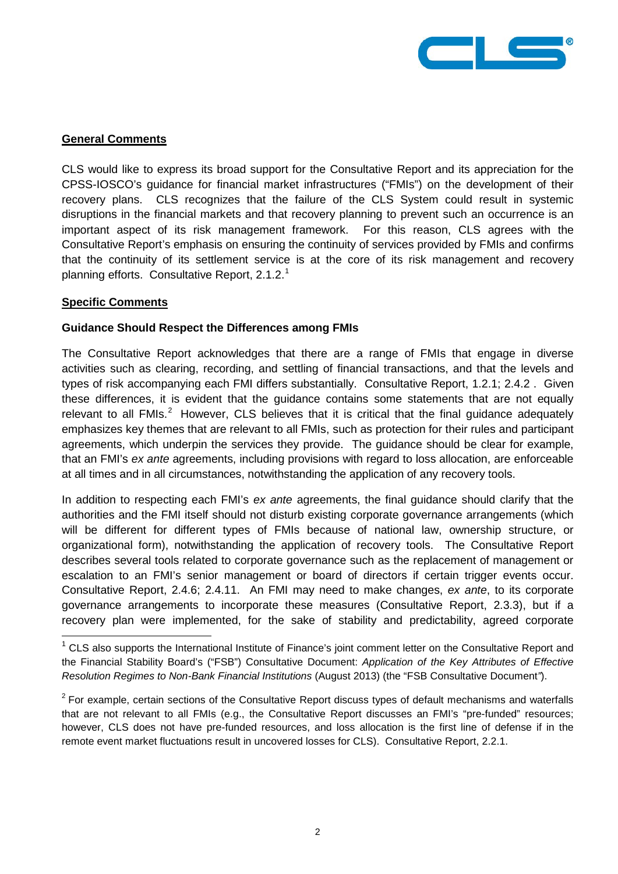

### **General Comments**

CLS would like to express its broad support for the Consultative Report and its appreciation for the CPSS-IOSCO's guidance for financial market infrastructures ("FMIs") on the development of their recovery plans. CLS recognizes that the failure of the CLS System could result in systemic disruptions in the financial markets and that recovery planning to prevent such an occurrence is an important aspect of its risk management framework. For this reason, CLS agrees with the Consultative Report's emphasis on ensuring the continuity of services provided by FMIs and confirms that the continuity of its settlement service is at the core of its risk management and recovery planning efforts. Consultative Report, 2.[1](#page-1-0).2. $1$ 

### **Specific Comments**

 $\overline{a}$ 

#### **Guidance Should Respect the Differences among FMIs**

The Consultative Report acknowledges that there are a range of FMIs that engage in diverse activities such as clearing, recording, and settling of financial transactions, and that the levels and types of risk accompanying each FMI differs substantially. Consultative Report, 1.2.1; 2.4.2 . Given these differences, it is evident that the guidance contains some statements that are not equally relevant to all  $FMIs.<sup>2</sup>$  $FMIs.<sup>2</sup>$  $FMIs.<sup>2</sup>$  However, CLS believes that it is critical that the final guidance adequately emphasizes key themes that are relevant to all FMIs, such as protection for their rules and participant agreements, which underpin the services they provide. The guidance should be clear for example, that an FMI's *ex ante* agreements, including provisions with regard to loss allocation, are enforceable at all times and in all circumstances, notwithstanding the application of any recovery tools.

In addition to respecting each FMI's *ex ante* agreements, the final guidance should clarify that the authorities and the FMI itself should not disturb existing corporate governance arrangements (which will be different for different types of FMIs because of national law, ownership structure, or organizational form), notwithstanding the application of recovery tools. The Consultative Report describes several tools related to corporate governance such as the replacement of management or escalation to an FMI's senior management or board of directors if certain trigger events occur. Consultative Report, 2.4.6; 2.4.11. An FMI may need to make changes, *ex ante*, to its corporate governance arrangements to incorporate these measures (Consultative Report, 2.3.3), but if a recovery plan were implemented, for the sake of stability and predictability, agreed corporate

<span id="page-1-0"></span> $1$  CLS also supports the International Institute of Finance's joint comment letter on the Consultative Report and the Financial Stability Board's ("FSB") Consultative Document: *Application of the Key Attributes of Effective Resolution Regimes to Non-Bank Financial Institutions* (August 2013) (the "FSB Consultative Document*"*).

<span id="page-1-1"></span> $2$  For example, certain sections of the Consultative Report discuss types of default mechanisms and waterfalls that are not relevant to all FMIs (e.g., the Consultative Report discusses an FMI's "pre-funded" resources; however, CLS does not have pre-funded resources, and loss allocation is the first line of defense if in the remote event market fluctuations result in uncovered losses for CLS). Consultative Report, 2.2.1.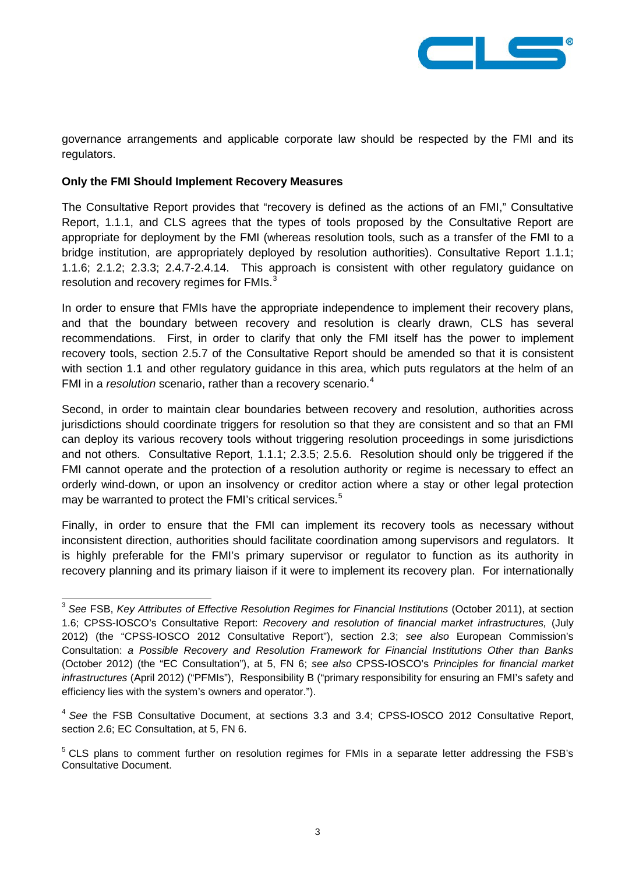

governance arrangements and applicable corporate law should be respected by the FMI and its regulators.

#### **Only the FMI Should Implement Recovery Measures**

The Consultative Report provides that "recovery is defined as the actions of an FMI," Consultative Report, 1.1.1, and CLS agrees that the types of tools proposed by the Consultative Report are appropriate for deployment by the FMI (whereas resolution tools, such as a transfer of the FMI to a bridge institution, are appropriately deployed by resolution authorities). Consultative Report 1.1.1; 1.1.6; 2.1.2; 2.3.3; 2.4.7-2.4.14. This approach is consistent with other regulatory guidance on resolution and recovery regimes for  $FMIs.<sup>3</sup>$  $FMIs.<sup>3</sup>$  $FMIs.<sup>3</sup>$ 

In order to ensure that FMIs have the appropriate independence to implement their recovery plans, and that the boundary between recovery and resolution is clearly drawn, CLS has several recommendations. First, in order to clarify that only the FMI itself has the power to implement recovery tools, section 2.5.7 of the Consultative Report should be amended so that it is consistent with section 1.1 and other regulatory guidance in this area, which puts regulators at the helm of an FMI in a *resolution* scenario, rather than a recovery scenario.<sup>[4](#page-2-1)</sup>

Second, in order to maintain clear boundaries between recovery and resolution, authorities across jurisdictions should coordinate triggers for resolution so that they are consistent and so that an FMI can deploy its various recovery tools without triggering resolution proceedings in some jurisdictions and not others. Consultative Report, 1.1.1; 2.3.5; 2.5.6. Resolution should only be triggered if the FMI cannot operate and the protection of a resolution authority or regime is necessary to effect an orderly wind-down, or upon an insolvency or creditor action where a stay or other legal protection may be warranted to protect the FMI's critical services.<sup>[5](#page-2-2)</sup>

Finally, in order to ensure that the FMI can implement its recovery tools as necessary without inconsistent direction, authorities should facilitate coordination among supervisors and regulators. It is highly preferable for the FMI's primary supervisor or regulator to function as its authority in recovery planning and its primary liaison if it were to implement its recovery plan. For internationally

<span id="page-2-0"></span><sup>&</sup>lt;sup>3</sup> See FSB, *Key Attributes of Effective Resolution Regimes for Financial Institutions* (October 2011), at section 1.6; CPSS-IOSCO's Consultative Report: *Recovery and resolution of financial market infrastructures,* (July 2012) (the "CPSS-IOSCO 2012 Consultative Report"), section 2.3; *see also* European Commission's Consultation: *a Possible Recovery and Resolution Framework for Financial Institutions Other than Banks* (October 2012) (the "EC Consultation"), at 5, FN 6; *see also* CPSS-IOSCO's *Principles for financial market infrastructures* (April 2012) ("PFMIs"), Responsibility B ("primary responsibility for ensuring an FMI's safety and efficiency lies with the system's owners and operator.").  $\overline{a}$ 

<span id="page-2-1"></span><sup>4</sup> *See* the FSB Consultative Document, at sections 3.3 and 3.4; CPSS-IOSCO 2012 Consultative Report, section 2.6; EC Consultation, at 5, FN 6.

<span id="page-2-2"></span><sup>&</sup>lt;sup>5</sup> CLS plans to comment further on resolution regimes for FMIs in a separate letter addressing the FSB's Consultative Document.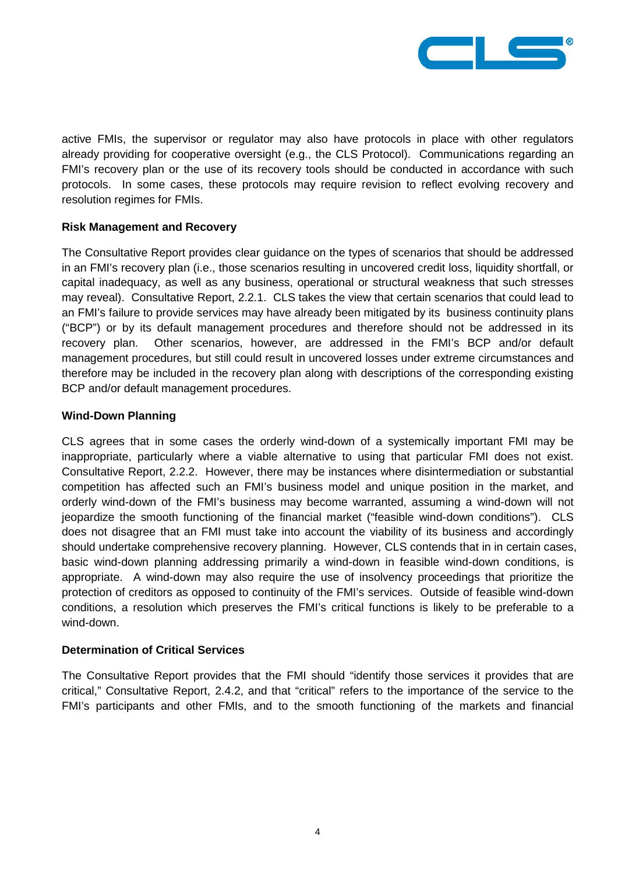

active FMIs, the supervisor or regulator may also have protocols in place with other regulators already providing for cooperative oversight (e.g., the CLS Protocol). Communications regarding an FMI's recovery plan or the use of its recovery tools should be conducted in accordance with such protocols. In some cases, these protocols may require revision to reflect evolving recovery and resolution regimes for FMIs.

## **Risk Management and Recovery**

The Consultative Report provides clear guidance on the types of scenarios that should be addressed in an FMI's recovery plan (i.e., those scenarios resulting in uncovered credit loss, liquidity shortfall, or capital inadequacy, as well as any business, operational or structural weakness that such stresses may reveal). Consultative Report, 2.2.1. CLS takes the view that certain scenarios that could lead to an FMI's failure to provide services may have already been mitigated by its business continuity plans ("BCP") or by its default management procedures and therefore should not be addressed in its recovery plan. Other scenarios, however, are addressed in the FMI's BCP and/or default management procedures, but still could result in uncovered losses under extreme circumstances and therefore may be included in the recovery plan along with descriptions of the corresponding existing BCP and/or default management procedures.

### **Wind-Down Planning**

CLS agrees that in some cases the orderly wind-down of a systemically important FMI may be inappropriate, particularly where a viable alternative to using that particular FMI does not exist. Consultative Report, 2.2.2. However, there may be instances where disintermediation or substantial competition has affected such an FMI's business model and unique position in the market, and orderly wind-down of the FMI's business may become warranted, assuming a wind-down will not jeopardize the smooth functioning of the financial market ("feasible wind-down conditions"). CLS does not disagree that an FMI must take into account the viability of its business and accordingly should undertake comprehensive recovery planning. However, CLS contends that in in certain cases, basic wind-down planning addressing primarily a wind-down in feasible wind-down conditions, is appropriate. A wind-down may also require the use of insolvency proceedings that prioritize the protection of creditors as opposed to continuity of the FMI's services. Outside of feasible wind-down conditions, a resolution which preserves the FMI's critical functions is likely to be preferable to a wind-down.

### **Determination of Critical Services**

The Consultative Report provides that the FMI should "identify those services it provides that are critical," Consultative Report, 2.4.2, and that "critical" refers to the importance of the service to the FMI's participants and other FMIs, and to the smooth functioning of the markets and financial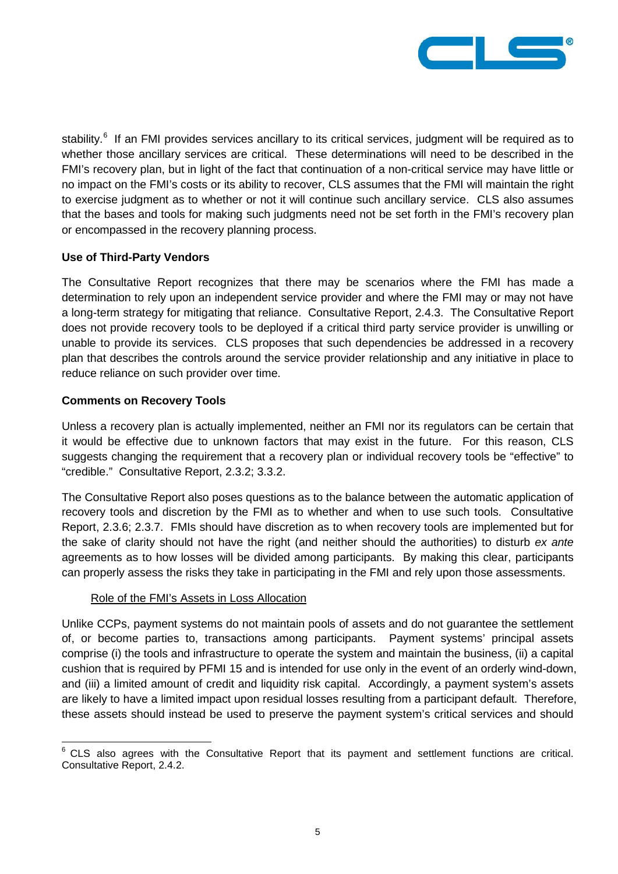

stability.<sup>[6](#page-4-0)</sup> If an FMI provides services ancillary to its critical services, judgment will be required as to whether those ancillary services are critical. These determinations will need to be described in the FMI's recovery plan, but in light of the fact that continuation of a non-critical service may have little or no impact on the FMI's costs or its ability to recover, CLS assumes that the FMI will maintain the right to exercise judgment as to whether or not it will continue such ancillary service. CLS also assumes that the bases and tools for making such judgments need not be set forth in the FMI's recovery plan or encompassed in the recovery planning process.

## **Use of Third-Party Vendors**

The Consultative Report recognizes that there may be scenarios where the FMI has made a determination to rely upon an independent service provider and where the FMI may or may not have a long-term strategy for mitigating that reliance. Consultative Report, 2.4.3. The Consultative Report does not provide recovery tools to be deployed if a critical third party service provider is unwilling or unable to provide its services. CLS proposes that such dependencies be addressed in a recovery plan that describes the controls around the service provider relationship and any initiative in place to reduce reliance on such provider over time.

## **Comments on Recovery Tools**

Unless a recovery plan is actually implemented, neither an FMI nor its regulators can be certain that it would be effective due to unknown factors that may exist in the future. For this reason, CLS suggests changing the requirement that a recovery plan or individual recovery tools be "effective" to "credible." Consultative Report, 2.3.2; 3.3.2.

The Consultative Report also poses questions as to the balance between the automatic application of recovery tools and discretion by the FMI as to whether and when to use such tools. Consultative Report, 2.3.6; 2.3.7. FMIs should have discretion as to when recovery tools are implemented but for the sake of clarity should not have the right (and neither should the authorities) to disturb *ex ante* agreements as to how losses will be divided among participants. By making this clear, participants can properly assess the risks they take in participating in the FMI and rely upon those assessments.

# Role of the FMI's Assets in Loss Allocation

Unlike CCPs, payment systems do not maintain pools of assets and do not guarantee the settlement of, or become parties to, transactions among participants. Payment systems' principal assets comprise (i) the tools and infrastructure to operate the system and maintain the business, (ii) a capital cushion that is required by PFMI 15 and is intended for use only in the event of an orderly wind-down, and (iii) a limited amount of credit and liquidity risk capital. Accordingly, a payment system's assets are likely to have a limited impact upon residual losses resulting from a participant default. Therefore, these assets should instead be used to preserve the payment system's critical services and should

<span id="page-4-0"></span><sup>6</sup> CLS also agrees with the Consultative Report that its payment and settlement functions are critical. Consultative Report, 2.4.2. 6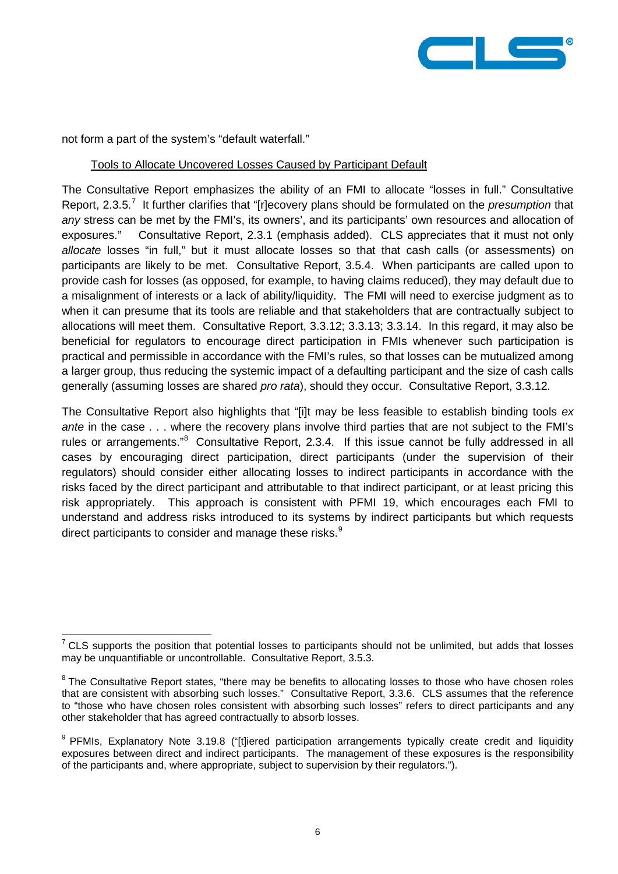

not form a part of the system's "default waterfall."

#### Tools to Allocate Uncovered Losses Caused by Participant Default

The Consultative Report emphasizes the ability of an FMI to allocate "losses in full." Consultative Report, 2.3.5.<sup>[7](#page-5-0)</sup> It further clarifies that "[r]ecovery plans should be formulated on the *presumption* that *any* stress can be met by the FMI's, its owners', and its participants' own resources and allocation of exposures." Consultative Report, 2.3.1 (emphasis added). CLS appreciates that it must not only *allocate* losses "in full," but it must allocate losses so that that cash calls (or assessments) on participants are likely to be met. Consultative Report, 3.5.4. When participants are called upon to provide cash for losses (as opposed, for example, to having claims reduced), they may default due to a misalignment of interests or a lack of ability/liquidity. The FMI will need to exercise judgment as to when it can presume that its tools are reliable and that stakeholders that are contractually subject to allocations will meet them. Consultative Report, 3.3.12; 3.3.13; 3.3.14. In this regard, it may also be beneficial for regulators to encourage direct participation in FMIs whenever such participation is practical and permissible in accordance with the FMI's rules, so that losses can be mutualized among a larger group, thus reducing the systemic impact of a defaulting participant and the size of cash calls generally (assuming losses are shared *pro rata*), should they occur. Consultative Report, 3.3.12.

The Consultative Report also highlights that "[i]t may be less feasible to establish binding tools *ex ante* in the case . . . where the recovery plans involve third parties that are not subject to the FMI's rules or arrangements."<sup>[8](#page-5-1)</sup> Consultative Report, 2.3.4. If this issue cannot be fully addressed in all cases by encouraging direct participation, direct participants (under the supervision of their regulators) should consider either allocating losses to indirect participants in accordance with the risks faced by the direct participant and attributable to that indirect participant, or at least pricing this risk appropriately. This approach is consistent with PFMI 19, which encourages each FMI to understand and address risks introduced to its systems by indirect participants but which requests direct participants to consider and manage these risks. $9$ 

<span id="page-5-0"></span> $7$  CLS supports the position that potential losses to participants should not be unlimited, but adds that losses may be unquantifiable or uncontrollable. Consultative Report, 3.5.3.  $\overline{a}$ 

<span id="page-5-1"></span><sup>&</sup>lt;sup>8</sup> The Consultative Report states, "there may be benefits to allocating losses to those who have chosen roles that are consistent with absorbing such losses." Consultative Report, 3.3.6. CLS assumes that the reference to "those who have chosen roles consistent with absorbing such losses" refers to direct participants and any other stakeholder that has agreed contractually to absorb losses.

<span id="page-5-2"></span><sup>&</sup>lt;sup>9</sup> PFMIs, Explanatory Note 3.19.8 ("[t]iered participation arrangements typically create credit and liquidity exposures between direct and indirect participants. The management of these exposures is the responsibility of the participants and, where appropriate, subject to supervision by their regulators.").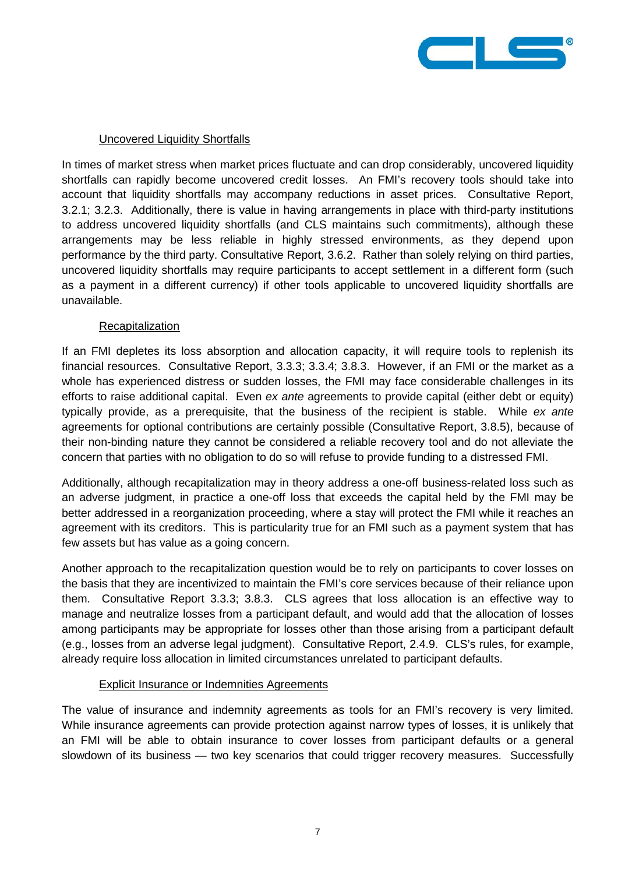

### Uncovered Liquidity Shortfalls

In times of market stress when market prices fluctuate and can drop considerably, uncovered liquidity shortfalls can rapidly become uncovered credit losses. An FMI's recovery tools should take into account that liquidity shortfalls may accompany reductions in asset prices. Consultative Report, 3.2.1; 3.2.3. Additionally, there is value in having arrangements in place with third-party institutions to address uncovered liquidity shortfalls (and CLS maintains such commitments), although these arrangements may be less reliable in highly stressed environments, as they depend upon performance by the third party. Consultative Report, 3.6.2. Rather than solely relying on third parties, uncovered liquidity shortfalls may require participants to accept settlement in a different form (such as a payment in a different currency) if other tools applicable to uncovered liquidity shortfalls are unavailable.

#### **Recapitalization**

If an FMI depletes its loss absorption and allocation capacity, it will require tools to replenish its financial resources. Consultative Report, 3.3.3; 3.3.4; 3.8.3. However, if an FMI or the market as a whole has experienced distress or sudden losses, the FMI may face considerable challenges in its efforts to raise additional capital. Even *ex ante* agreements to provide capital (either debt or equity) typically provide, as a prerequisite, that the business of the recipient is stable. While *ex ante* agreements for optional contributions are certainly possible (Consultative Report, 3.8.5), because of their non-binding nature they cannot be considered a reliable recovery tool and do not alleviate the concern that parties with no obligation to do so will refuse to provide funding to a distressed FMI.

Additionally, although recapitalization may in theory address a one-off business-related loss such as an adverse judgment, in practice a one-off loss that exceeds the capital held by the FMI may be better addressed in a reorganization proceeding, where a stay will protect the FMI while it reaches an agreement with its creditors. This is particularity true for an FMI such as a payment system that has few assets but has value as a going concern.

Another approach to the recapitalization question would be to rely on participants to cover losses on the basis that they are incentivized to maintain the FMI's core services because of their reliance upon them. Consultative Report 3.3.3; 3.8.3. CLS agrees that loss allocation is an effective way to manage and neutralize losses from a participant default, and would add that the allocation of losses among participants may be appropriate for losses other than those arising from a participant default (e.g., losses from an adverse legal judgment). Consultative Report, 2.4.9. CLS's rules, for example, already require loss allocation in limited circumstances unrelated to participant defaults.

### Explicit Insurance or Indemnities Agreements

The value of insurance and indemnity agreements as tools for an FMI's recovery is very limited. While insurance agreements can provide protection against narrow types of losses, it is unlikely that an FMI will be able to obtain insurance to cover losses from participant defaults or a general slowdown of its business — two key scenarios that could trigger recovery measures. Successfully